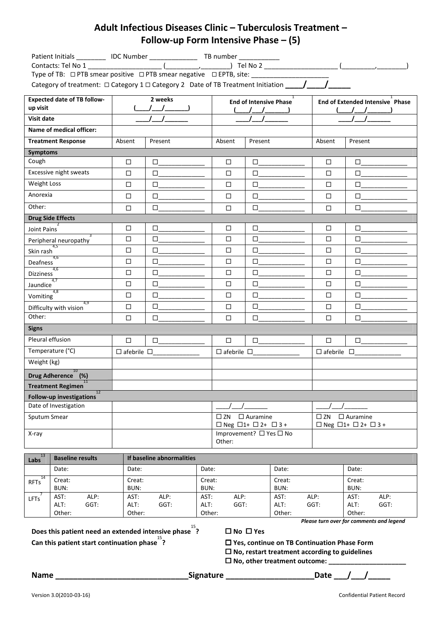## Adult Infectious Diseases Clinic – Tuberculosis Treatment – Follow-up Form Intensive Phase – (5)

| Patient Initials ___________ IDC Number __________________ TB number ___________<br>Type of TB: □ PTB smear positive □ PTB smear negative □ EPTB, site: ____________________ |                        |         |                                                                                |         |                                                                                 |         |
|------------------------------------------------------------------------------------------------------------------------------------------------------------------------------|------------------------|---------|--------------------------------------------------------------------------------|---------|---------------------------------------------------------------------------------|---------|
| <b>Expected date of TB follow-</b><br>up visit                                                                                                                               | 2 weeks                |         | $\overline{1}$<br><b>End of Intensive Phase</b>                                |         | End of Extended Intensive Phase                                                 |         |
| Visit date                                                                                                                                                                   |                        |         | $\sqrt{2}$                                                                     |         |                                                                                 |         |
| Name of medical officer:                                                                                                                                                     |                        |         |                                                                                |         |                                                                                 |         |
| <b>Treatment Response</b>                                                                                                                                                    | Absent                 | Present | Absent                                                                         | Present | Absent                                                                          | Present |
| <b>Symptoms</b>                                                                                                                                                              |                        |         |                                                                                |         |                                                                                 |         |
| Cough                                                                                                                                                                        | □                      | $\Box$  | $\Box$                                                                         | $\Box$  | □                                                                               | $\Box$  |
| Excessive night sweats                                                                                                                                                       | $\Box$                 | $\Box$  | □                                                                              | □       | □                                                                               | $\Box$  |
| Weight Loss                                                                                                                                                                  | □                      | $\Box$  | □                                                                              | $\Box$  | □                                                                               | $\Box$  |
| Anorexia                                                                                                                                                                     | $\Box$                 | $\Box$  | □                                                                              | $\Box$  | $\Box$                                                                          | $\Box$  |
| Other:                                                                                                                                                                       | □                      | $\Box$  | □                                                                              | $\Box$  | □                                                                               | $\Box$  |
| <b>Drug Side Effects</b>                                                                                                                                                     |                        |         |                                                                                |         |                                                                                 |         |
| Joint Pains                                                                                                                                                                  | $\Box$                 | $\Box$  | $\Box$                                                                         | $\Box$  | $\Box$                                                                          | $\Box$  |
| Peripheral neuropathy                                                                                                                                                        | □                      | $\Box$  | □                                                                              | $\Box$  | □                                                                               | $\Box$  |
| 4,5<br>Skin rash                                                                                                                                                             | $\Box$                 | $\Box$  | □                                                                              | $\Box$  | □                                                                               | $\Box$  |
| 4,6<br>Deafness                                                                                                                                                              | $\Box$                 | $\Box$  | □                                                                              | $\Box$  | □                                                                               | $\Box$  |
| 4,6<br><b>Dizziness</b>                                                                                                                                                      | $\Box$                 | $\Box$  | □                                                                              | $\Box$  | □                                                                               | $\Box$  |
| 4,7<br>Jaundice                                                                                                                                                              | □                      | $\Box$  | □                                                                              | $\Box$  | □                                                                               | $\Box$  |
| 4,8<br>Vomiting                                                                                                                                                              | □                      | $\Box$  | □                                                                              | $\Box$  | □                                                                               | $\Box$  |
| 4.9<br>Difficulty with vision                                                                                                                                                | $\Box$                 | $\Box$  | □                                                                              | □       | $\Box$                                                                          | $\Box$  |
| Other:                                                                                                                                                                       | □                      | $\Box$  | □                                                                              | $\Box$  | $\Box$                                                                          | $\Box$  |
| <b>Signs</b>                                                                                                                                                                 |                        |         |                                                                                |         |                                                                                 |         |
| Pleural effusion                                                                                                                                                             | $\Box$                 | $\Box$  | $\Box$                                                                         | $\Box$  | $\Box$                                                                          | $\Box$  |
| Temperature (°C)                                                                                                                                                             | $\Box$ afebrile $\Box$ |         | $\Box$ afebrile $\Box$                                                         |         | $\Box$ afebrile $\Box$                                                          |         |
| Weight (kg)                                                                                                                                                                  |                        |         |                                                                                |         |                                                                                 |         |
| 10<br>Drug Adherence (%)                                                                                                                                                     |                        |         |                                                                                |         |                                                                                 |         |
| 11<br><b>Treatment Regimen</b>                                                                                                                                               |                        |         |                                                                                |         |                                                                                 |         |
| 12<br>Follow-up investigations                                                                                                                                               |                        |         |                                                                                |         |                                                                                 |         |
| Date of Investigation                                                                                                                                                        |                        |         |                                                                                |         |                                                                                 |         |
| Sputum Smear                                                                                                                                                                 |                        |         | $\square$ Auramine<br>$\square$ ZN                                             |         | $\square$ ZN<br>$\square$ Auramine<br>$\Box$ Neg $\Box$ 1+ $\Box$ 2+ $\Box$ 3 + |         |
| X-ray                                                                                                                                                                        |                        |         | $\Box$ Neg $\Box$ 1+ $\Box$ 2+ $\Box$ 3 +<br>Improvement? □ Yes □ No<br>Other: |         |                                                                                 |         |
|                                                                                                                                                                              |                        |         |                                                                                |         |                                                                                 |         |

| 13<br>Labs  | <b>Baseline results</b> |      | If baseline abnormalities |      |        |      |        |      |        |      |
|-------------|-------------------------|------|---------------------------|------|--------|------|--------|------|--------|------|
|             | Date:                   |      | Date:                     |      | Date:  |      | Date:  |      | Date:  |      |
| <b>RFTs</b> | Creat:                  |      | Creat:                    |      | Creat: |      | Creat: |      | Creat: |      |
|             | BUN:                    |      | BUN:                      |      | BUN:   |      | BUN:   |      | BUN:   |      |
| <b>LFTs</b> | AST:                    | ALP: | AST:                      | ALP: | AST:   | ALP: | AST:   | ALP: | AST:   | ALP: |
|             | ALT:                    | GGT: | ALT:                      | GGT: | ALT:   | GGT: | ALT:   | GGT: | ALT:   | GGT: |
|             | Other:                  |      | Other:                    |      | Other: |      | Other: |      | Other: |      |

Does this patient need an extended intensive phase 15 Can this patient start continuation phase 15

 $\square$  No  $\square$  Yes

□ Yes, continue on TB Continuation Phase Form

 $\square$  No, restart treatment according to guidelines

 $\square$  No, other treatment outcome:  $\_$ 

Please turn over for comments and legend